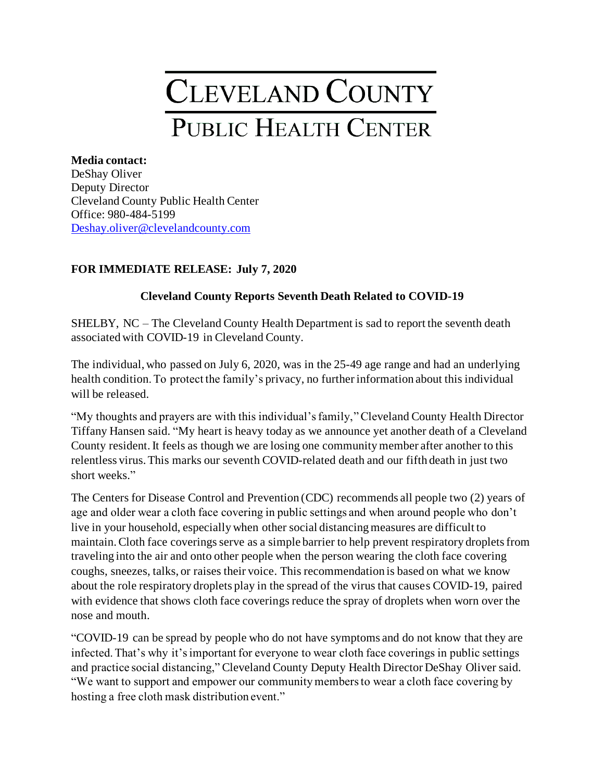## **CLEVELAND COUNTY** PUBLIC HEALTH CENTER

**Media contact:** DeShay Oliver Deputy Director Cleveland County Public Health Center Office: 980-484-5199 [Deshay.oliver@clevelandcounty.com](mailto:Deshay.oliver@clevelandcounty.com)

## **FOR IMMEDIATE RELEASE: July 7, 2020**

## **Cleveland County Reports Seventh Death Related to COVID-19**

SHELBY, NC – The Cleveland County Health Department is sad to report the seventh death associated with COVID-19 in Cleveland County.

The individual, who passed on July 6, 2020, was in the 25-49 age range and had an underlying health condition. To protect the family's privacy, no further information about this individual will be released.

"My thoughts and prayers are with this individual's family," Cleveland County Health Director Tiffany Hansen said. "My heart is heavy today as we announce yet another death of a Cleveland County resident.It feels as though we are losing one community member after another to this relentless virus. This marks our seventh COVID-related death and our fifth death in just two short weeks."

The Centers for Disease Control and Prevention (CDC) recommends all people two (2) years of age and older wear a cloth face covering in public settings and when around people who don't live in your household, especially when other social distancing measures are difficult to maintain. Cloth face coverings serve as a simple barrier to help prevent respiratory droplets from traveling into the air and onto other people when the person wearing the cloth face covering coughs, sneezes, talks, or raises their voice. This recommendation is based on what we know about the role respiratory droplets play in the spread of the virus that causes COVID-19, paired with evidence that shows cloth face coverings reduce the spray of droplets when worn over the nose and mouth.

"COVID-19 can be spread by people who do not have symptoms and do not know that they are infected. That's why it's important for everyone to wear cloth face coverings in public settings and practice social distancing," Cleveland County Deputy Health Director DeShay Oliver said. "We want to support and empower our community members to wear a cloth face covering by hosting a free cloth mask distribution event."